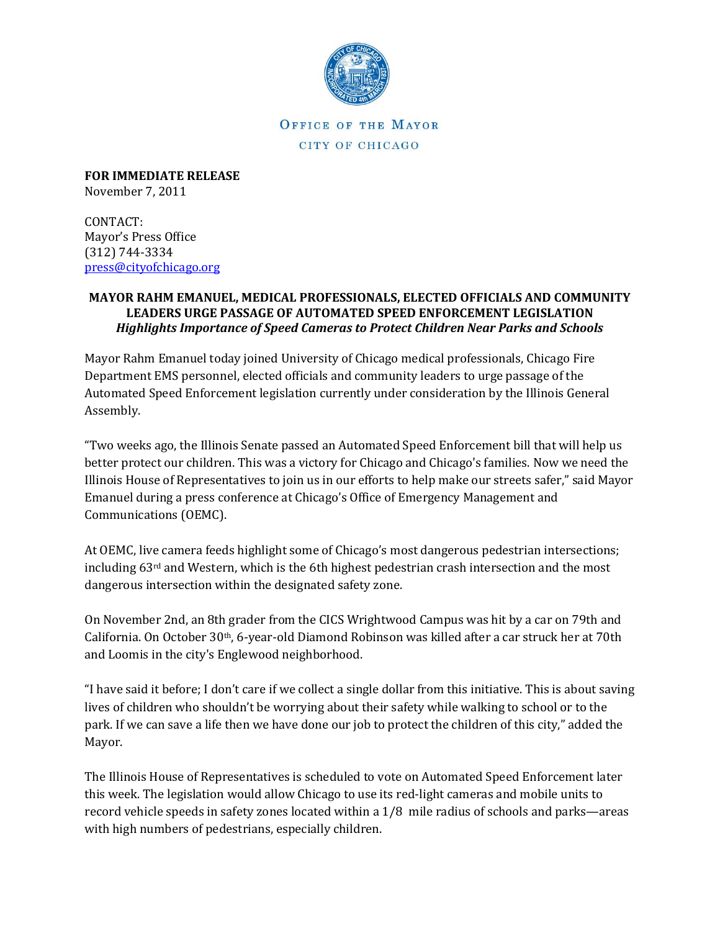

OFFICE OF THE MAYOR CITY OF CHICAGO

**FOR IMMEDIATE RELEASE** November 7, 2011

CONTACT: Mayor's Press Office (312) 744-3334 [press@cityofchicago.org](mailto:press@cityofchicago.org)

## **MAYOR RAHM EMANUEL, MEDICAL PROFESSIONALS, ELECTED OFFICIALS AND COMMUNITY LEADERS URGE PASSAGE OF AUTOMATED SPEED ENFORCEMENT LEGISLATION** *Highlights Importance of Speed Cameras to Protect Children Near Parks and Schools*

Mayor Rahm Emanuel today joined University of Chicago medical professionals, Chicago Fire Department EMS personnel, elected officials and community leaders to urge passage of the Automated Speed Enforcement legislation currently under consideration by the Illinois General Assembly.

"Two weeks ago, the Illinois Senate passed an Automated Speed Enforcement bill that will help us better protect our children. This was a victory for Chicago and Chicago's families. Now we need the Illinois House of Representatives to join us in our efforts to help make our streets safer," said Mayor Emanuel during a press conference at Chicago's Office of Emergency Management and Communications (OEMC).

At OEMC, live camera feeds highlight some of Chicago's most dangerous pedestrian intersections; including 63rd and Western, which is the 6th highest pedestrian crash intersection and the most dangerous intersection within the designated safety zone.

On November 2nd, an 8th grader from the CICS Wrightwood Campus was hit by a car on 79th and California. On October 30th, 6-year-old Diamond Robinson was killed after a car struck her at [70th](http://www.suntimes.com/8510811-417/girl-6-killed-crossing-street.html)  [and Loomis in the city's Englewood neighborhood.](http://www.suntimes.com/8510811-417/girl-6-killed-crossing-street.html)

"I have said it before; I don't care if we collect a single dollar from this initiative. This is about saving lives of children who shouldn't be worrying about their safety while walking to school or to the park. If we can save a life then we have done our job to protect the children of this city," added the Mayor.

The Illinois House of Representatives is scheduled to vote on Automated Speed Enforcement later this week. The legislation would allow Chicago to use its red-light cameras and mobile units to record vehicle speeds in safety zones located within a 1/8 mile radius of schools and parks—areas with high numbers of pedestrians, especially children.